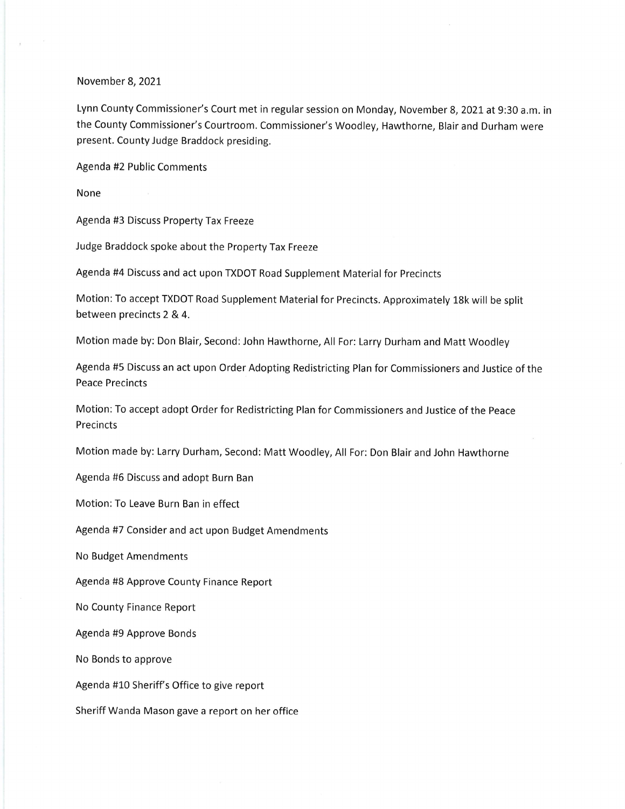## November 8,2027

Lynn County Commissioner's Court met in regular session on Monday, November 8, 2021 at 9:30 a.m. in the County Commissioner's Courtroom. Commissioner's Woodley, Hawthorne, Blair and Durham were present. County Judge Braddock presiding.

Agenda #2 Public Comments

None

Agenda #3 Discuss Property Tax Freeze

Judge Braddock spoke about the Property Tax Freeze

Agenda #4 Discuss and act upon TXDOT Road Supplement Material for Precincts

Motion: To accept TXDOT Road Supplement Material for Precincts. Approximately 18k will be split between precincts 2 & 4.

Motion made by: Don Blair, Second: John Hawthorne, All For: Larry Durham and Matt Woodley

Agenda #5 Discuss an act upon Order Adopting Redistricting Plan for Commissioners and Justice of the Peace Precincts

Motion: To accept adopt Order for Redistricting Plan for Commissioners and Justice of the Peace **Precincts** 

Motion made by: Larry Durham, Second: Matt Woodley, All For: Don Blair and John Hawthorne

Agenda #6 Discuss and adopt Burn Ban

Motion:To Leave Burn Ban in effect

Agenda #7 Consider and act upon Budget Amendments

No Budget Amendments

Agenda #8 Approve County Finance Report

No County Finance Report

Agenda #9 Approve Bonds

No Bonds to approve

Agenda #10 Sheriff's Office to give report

Sheriff Wanda Mason gave a report on her office